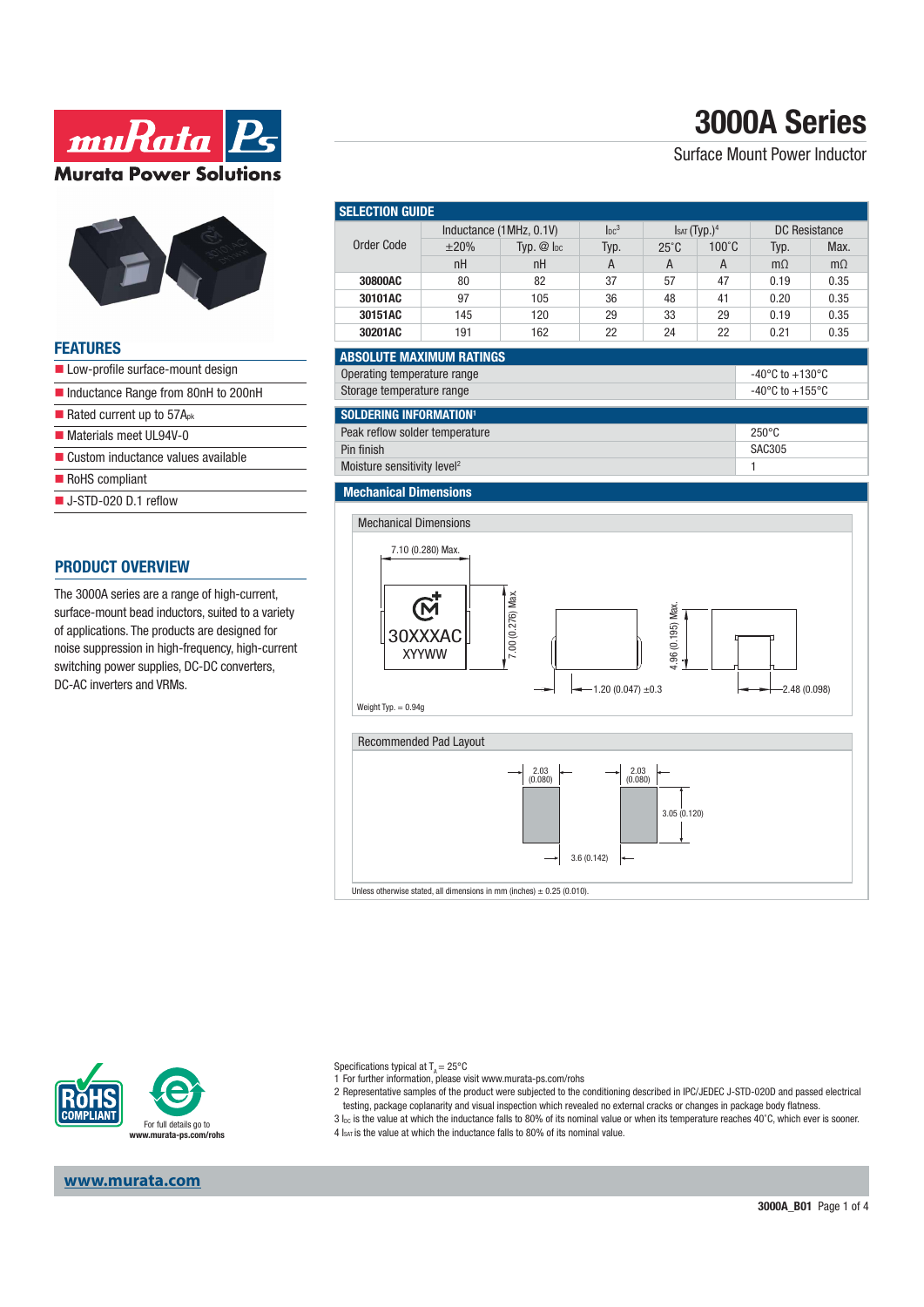# **3000A Series**

Surface Mount Power Inductor

**ww.Rata** 

**Murata Power Solutions** 

#### **FEATURES**

- Low-profile surface-mount design
- Inductance Range from 80nH to 200nH
- Rated current up to  $57A_{pk}$
- Materials meet UL94V-0
- Custom inductance values available
- RoHS compliant
- J-STD-020 D.1 reflow

#### **PRODUCT OVERVIEW**

The 3000A series are a range of high-current, surface-mount bead inductors, suited to a variety of applications. The products are designed for noise suppression in high-frequency, high-current switching power supplies, DC-DC converters, DC-AC inverters and VRMs.

| <b>SELECTION GUIDE</b>                                                                        |                         |                     |                        |                          |                |                                       |           |  |
|-----------------------------------------------------------------------------------------------|-------------------------|---------------------|------------------------|--------------------------|----------------|---------------------------------------|-----------|--|
| <b>Order Code</b>                                                                             | Inductance (1MHz, 0.1V) |                     | Inc <sup>3</sup>       | Isat (Typ.) <sup>4</sup> |                | <b>DC Resistance</b>                  |           |  |
|                                                                                               | $\pm 20\%$              | $Tvp.$ $@$ $ _{DC}$ | Typ.                   | $25^\circ C$             | 100°C          | Typ.                                  | Max.      |  |
|                                                                                               | nH                      | nH                  | $\overline{A}$         | A                        | $\overline{A}$ | $m\Omega$                             | $m\Omega$ |  |
| 30800AC                                                                                       | 80                      | 82                  | 37                     | 57                       | 47             | 0.19                                  | 0.35      |  |
| 30101AC                                                                                       | 97                      | 105                 | 36                     | 48                       | 41             | 0.20                                  | 0.35      |  |
| 30151AC                                                                                       | 145                     | 120                 | 29                     | 33                       | 29             | 0.19                                  | 0.35      |  |
| 30201AC                                                                                       | 191                     | 162                 | 22                     | 24                       | 22             | 0.21                                  | 0.35      |  |
| <b>ABSOLUTE MAXIMUM RATINGS</b>                                                               |                         |                     |                        |                          |                |                                       |           |  |
| Operating temperature range<br>-40 $^{\circ}$ C to +130 $^{\circ}$ C                          |                         |                     |                        |                          |                |                                       |           |  |
| Storage temperature range                                                                     |                         |                     |                        |                          |                | -40 $^{\circ}$ C to +155 $^{\circ}$ C |           |  |
|                                                                                               |                         |                     |                        |                          |                |                                       |           |  |
| <b>SOLDERING INFORMATION<sup>1</sup></b><br>Peak reflow solder temperature<br>$250^{\circ}$ C |                         |                     |                        |                          |                |                                       |           |  |
| Pin finish                                                                                    |                         |                     |                        |                          |                | <b>SAC305</b>                         |           |  |
| Moisture sensitivity level <sup>2</sup>                                                       |                         |                     |                        |                          |                | 1                                     |           |  |
|                                                                                               |                         |                     |                        |                          |                |                                       |           |  |
| <b>Mechanical Dimensions</b>                                                                  |                         |                     |                        |                          |                |                                       |           |  |
| <b>Mechanical Dimensions</b>                                                                  |                         |                     |                        |                          |                |                                       |           |  |
| 7.10 (0.280) Max.                                                                             |                         |                     |                        |                          |                |                                       |           |  |
|                                                                                               |                         |                     |                        |                          |                |                                       |           |  |
|                                                                                               |                         |                     |                        |                          |                |                                       |           |  |
| 7.00 (0.276) Max.                                                                             |                         |                     |                        |                          |                |                                       |           |  |
| 4.96 (0.195) Max.<br>30XXXAC                                                                  |                         |                     |                        |                          |                |                                       |           |  |
| <b>XYYWW</b>                                                                                  |                         |                     |                        |                          |                |                                       |           |  |
|                                                                                               |                         |                     |                        |                          |                |                                       |           |  |
|                                                                                               |                         | Ð                   | $-1.20(0.047) \pm 0.3$ |                          |                | $-2.48(0.098)$                        |           |  |
| Weight Typ. $= 0.94g$                                                                         |                         |                     |                        |                          |                |                                       |           |  |
|                                                                                               |                         |                     |                        |                          |                |                                       |           |  |
| Recommended Pad Layout                                                                        |                         |                     |                        |                          |                |                                       |           |  |
|                                                                                               |                         |                     |                        |                          |                |                                       |           |  |
| $2.03$<br>(0.080)<br>$2.03$<br>$(0.080)$                                                      |                         |                     |                        |                          |                |                                       |           |  |

3.05 (0.120)

3.6 (0.142)

Unless otherwise stated, all dimensions in mm (inches)  $\pm$  0.25 (0.010).



Specifications typical at  $T_A = 25^{\circ}C$ 

1 For further information, please visit www.murata-ps.com/rohs

2 Representative samples of the product were subjected to the conditioning described in IPC/JEDEC J-STD-020D and passed electrical

testing, package coplanarity and visual inspection which revealed no external cracks or changes in package body flatness. 3 I<sub>DC</sub> is the value at which the inductance falls to 80% of its nominal value or when its temperature reaches 40°C, which ever is sooner.

4 Isat is the value at which the inductance falls to 80% of its nominal value.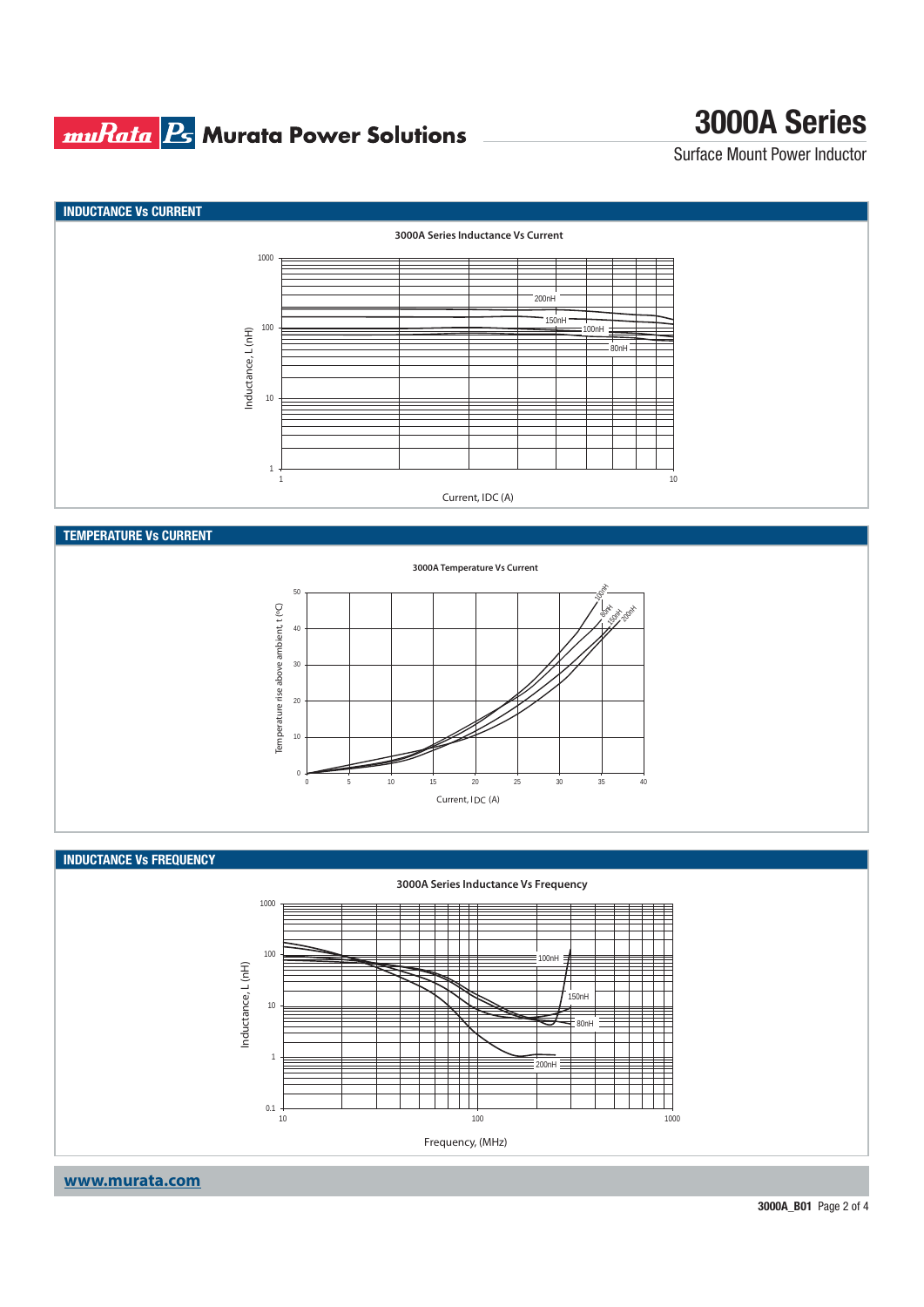### **muRata B** Murata Power Solutions

## **3000A Series**

Surface Mount Power Inductor



#### **TEMPERATURE Vs CURRENT**



#### **INDUCTANCE Vs FREQUENCY**



### **www.murata.com**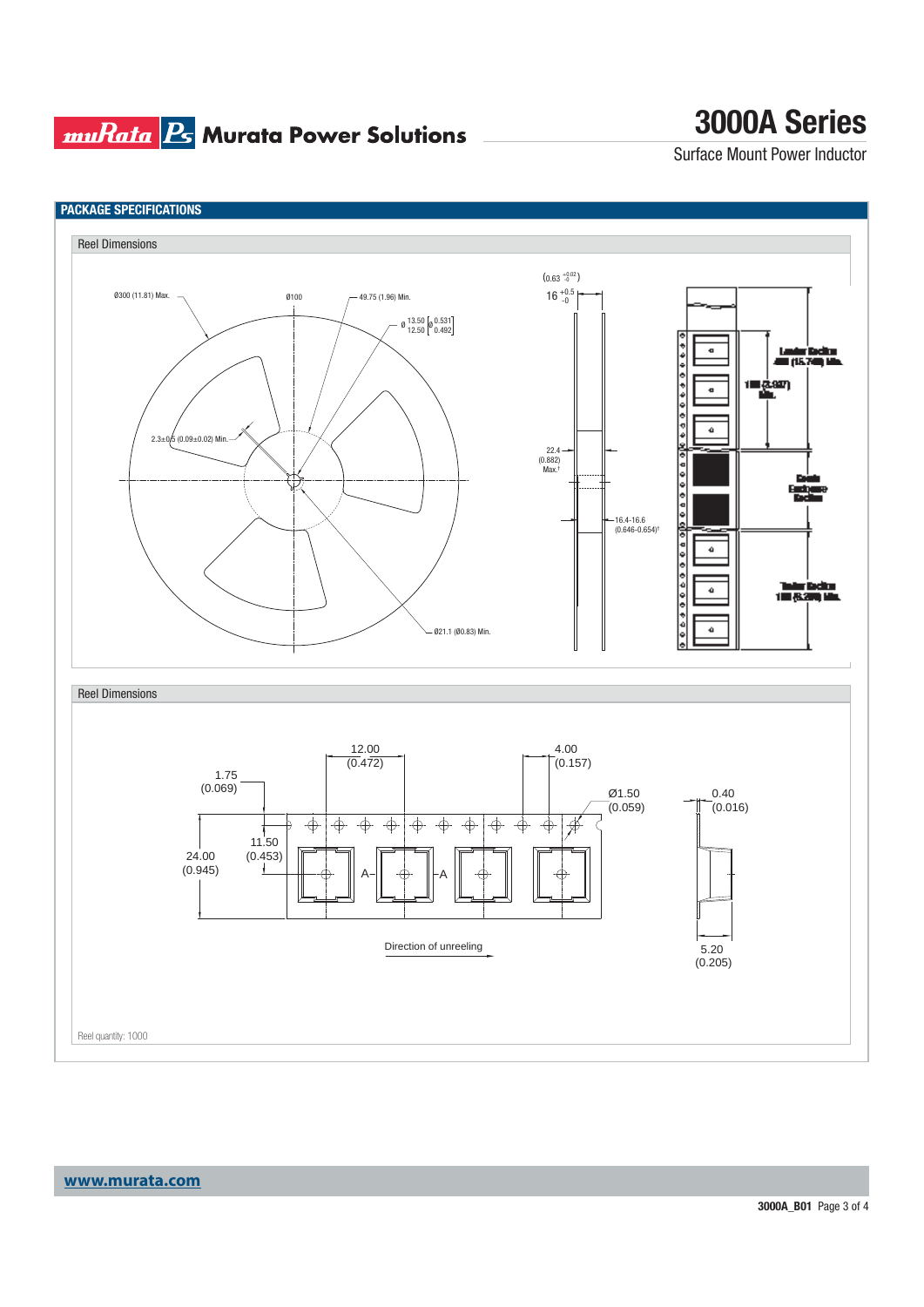### **muRata Ps** Murata Power Solutions

## **3000A Series**

Surface Mount Power Inductor